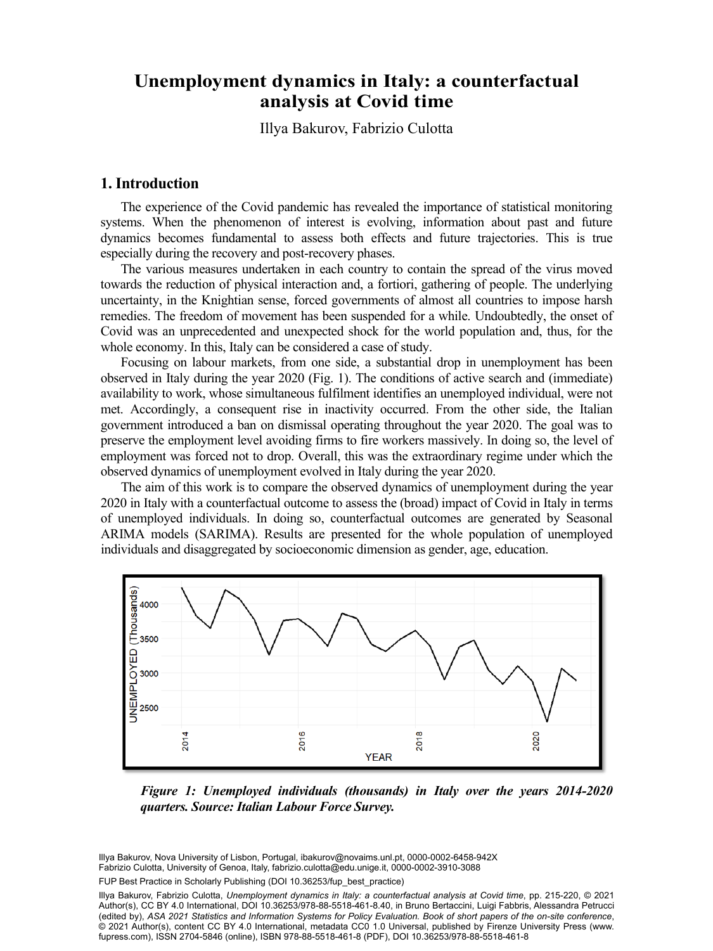# analysis at Covid time **Unemployment dynamics in Italy: a counterfactual**

 $\overline{\phantom{a}}$ Illye Delewey, Eskwaie, Orlette Illya Bakurov, Fabrizio Culotta

### **1. Introduction**

The experience of the Covid pandemic has revealed the importance of statistical monitoring systems. When the phenomenon of interest is evolving, information about past and future dynamics becomes fundamental to assess both effects and future trajectories. This is true especially during the recovery and post-recovery phases.

The various measures undertaken in each country to contain the spread of the virus moved towards the reduction of physical interaction and, a fortiori, gathering of people. The underlying uncertainty, in the Knightian sense, forced governments of almost all countries to impose harsh remedies. The freedom of movement has been suspended for a while. Undoubtedly, the onset of Covid was an unprecedented and unexpected shock for the world population and, thus, for the whole economy. In this, Italy can be considered a case of study.

Focusing on labour markets, from one side, a substantial drop in unemployment has been observed in Italy during the year 2020 (Fig. 1). The conditions of active search and (immediate) availability to work, whose simultaneous fulfilment identifies an unemployed individual, were not met. Accordingly, a consequent rise in inactivity occurred. From the other side, the Italian government introduced a ban on dismissal operating throughout the year 2020. The goal was to preserve the employment level avoiding firms to fire workers massively. In doing so, the level of employment was forced not to drop. Overall, this was the extraordinary regime under which the observed dynamics of unemployment evolved in Italy during the year 2020.

The aim of this work is to compare the observed dynamics of unemployment during the year 2020 in Italy with a counterfactual outcome to assess the (broad) impact of Covid in Italy in terms of unemployed individuals. In doing so, counterfactual outcomes are generated by Seasonal ARIMA models (SARIMA). Results are presented for the whole population of unemployed individuals and disaggregated by socioeconomic dimension as gender, age, education.



*Figure 1: Unemployed individuals (thousands) in Italy over the years 2014-2020 quarters. Source: Italian Labour Force Survey.*

niya Bakurov, Nova University or Lisbori, Portugal, ibakurov@novalifis.uni.pt, 0000-0002-0436-8<br>Fabrizio Culotta, University of Genoa, Italy, [fabrizio.culotta@edu.unige.it](mailto:fabrizio.culotta@edu.unige.it), [0000-0002-3910-3088](https://orcid.org/0000-0002-3910-3088) Illya Bakurov, Nova University of Lisbon, Portugal, [ibakurov@novaims.unl.pt,](mailto:ibakurov@novaims.unl.pt) [0000-0002-6458-942X](https://orcid.org/0000-0002-6458-942X)

FUP Best Practice in Scholarly Publishing (DOI [10.36253/fup\\_best\\_practice](https://doi.org/10.36253/fup_best_practice))

Illya Bakurov, Fabrizio Culotta, *Unemployment dynamics in Italy: a counterfactual analysis at Covid time*, pp. 215-220, © 2021 Author(s), [CC BY 4.0 International](http://creativecommons.org/licenses/by/4.0/legalcode), DOI [10.36253/978-88-5518-461-8.40,](https://doi.org/10.36253/978-88-5518-461-8.40) in Bruno Bertaccini, Luigi Fabbris, Alessandra Petrucci (edited by), *ASA 2021 Statistics and Information Systems for Policy Evaluation. Book of short papers of the on-site conference*, © 2021 Author(s), content [CC BY 4.0 International](http://creativecommons.org/licenses/by/4.0/legalcode), metadata [CC0 1.0 Universal](https://creativecommons.org/publicdomain/zero/1.0/legalcode), published by Firenze University Press [\(www.](http://www.fupress.com) [fupress.com\)](http://www.fupress.com), ISSN 2704-5846 (online), ISBN 978-88-5518-461-8 (PDF), DOI [10.36253/978-88-5518-461-8](https://doi.org/10.36253/978-88-5518-461-8)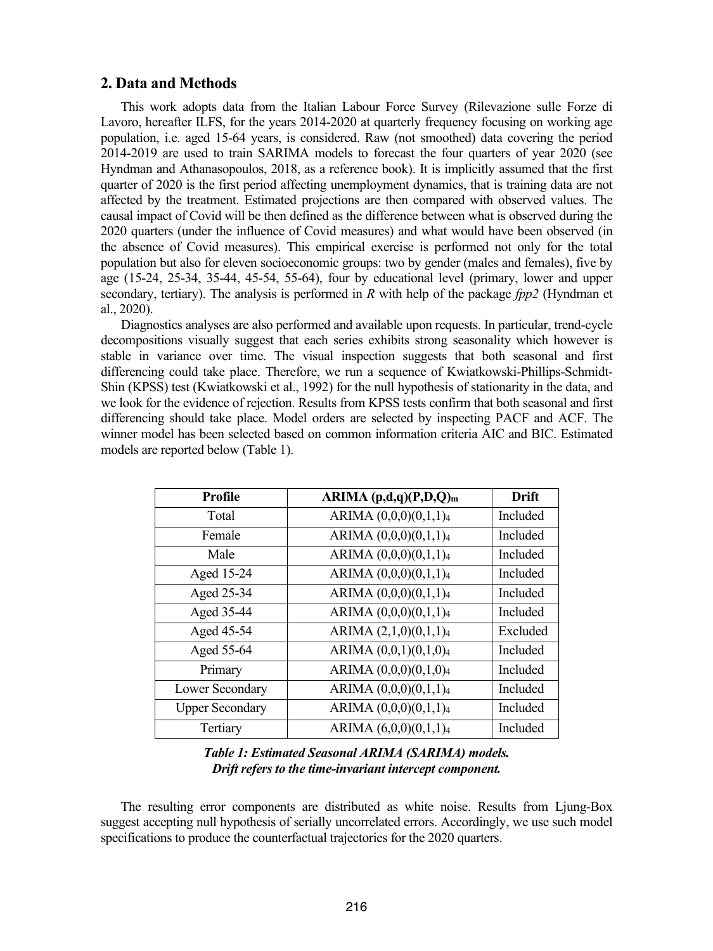#### **2. Data and Methods**

This work adopts data from the Italian Labour Force Survey (Rilevazione sulle Forze di Lavoro, hereafter ILFS, for the years 2014-2020 at quarterly frequency focusing on working age population, i.e. aged 15-64 years, is considered. Raw (not smoothed) data covering the period 2014-2019 are used to train SARIMA models to forecast the four quarters of year 2020 (see Hyndman and Athanasopoulos, 2018, as a reference book). It is implicitly assumed that the first quarter of 2020 is the first period affecting unemployment dynamics, that is training data are not affected by the treatment. Estimated projections are then compared with observed values. The causal impact of Covid will be then defined as the difference between what is observed during the 2020 quarters (under the influence of Covid measures) and what would have been observed (in the absence of Covid measures). This empirical exercise is performed not only for the total population but also for eleven socioeconomic groups: two by gender (males and females), five by age (15-24, 25-34, 35-44, 45-54, 55-64), four by educational level (primary, lower and upper secondary, tertiary). The analysis is performed in *R* with help of the package *fpp2* (Hyndman et al., 2020).

Diagnostics analyses are also performed and available upon requests. In particular, trend-cycle decompositions visually suggest that each series exhibits strong seasonality which however is stable in variance over time. The visual inspection suggests that both seasonal and first differencing could take place. Therefore, we run a sequence of Kwiatkowski-Phillips-Schmidt-Shin (KPSS) test (Kwiatkowski et al., 1992) for the null hypothesis of stationarity in the data, and we look for the evidence of rejection. Results from KPSS tests confirm that both seasonal and first differencing should take place. Model orders are selected by inspecting PACF and ACF. The winner model has been selected based on common information criteria AIC and BIC. Estimated models are reported below (Table 1).

| <b>Profile</b>         | ARIMA (p,d,q)(P,D,Q)m             | <b>Drift</b> |
|------------------------|-----------------------------------|--------------|
| Total                  | ARIMA (0,0,0)(0,1,1)4             | Included     |
| Female                 | ARIMA $(0,0,0)(0,1,1)4$           | Included     |
| Male                   | ARIMA $(0,0,0)(0,1,1)4$           | Included     |
| Aged 15-24             | ARIMA (0,0,0)(0,1,1)4             | Included     |
| Aged 25-34             | ARIMA (0,0,0)(0,1,1)4             | Included     |
| Aged 35-44             | ARIMA $(0,0,0)(0,1,1)_4$          | Included     |
| Aged 45-54             | ARIMA $(2,1,0)(0,1,1)$ 4          | Excluded     |
| Aged 55-64             | ARIMA (0,0,1)(0,1,0)4             | Included     |
| Primary                | ARIMA (0,0,0)(0,1,0)4             | Included     |
| Lower Secondary        | ARIMA (0,0,0)(0,1,1)4             | Included     |
| <b>Upper Secondary</b> | ARIMA (0,0,0)(0,1,1)4             | Included     |
| Tertiary               | ARIMA (6,0,0)(0,1,1) <sub>4</sub> | Included     |

### *Table 1: Estimated Seasonal ARIMA (SARIMA) models. Drift refers to the time-invariant intercept component.*

The resulting error components are distributed as white noise. Results from Ljung-Box suggest accepting null hypothesis of serially uncorrelated errors. Accordingly, we use such model specifications to produce the counterfactual trajectories for the 2020 quarters.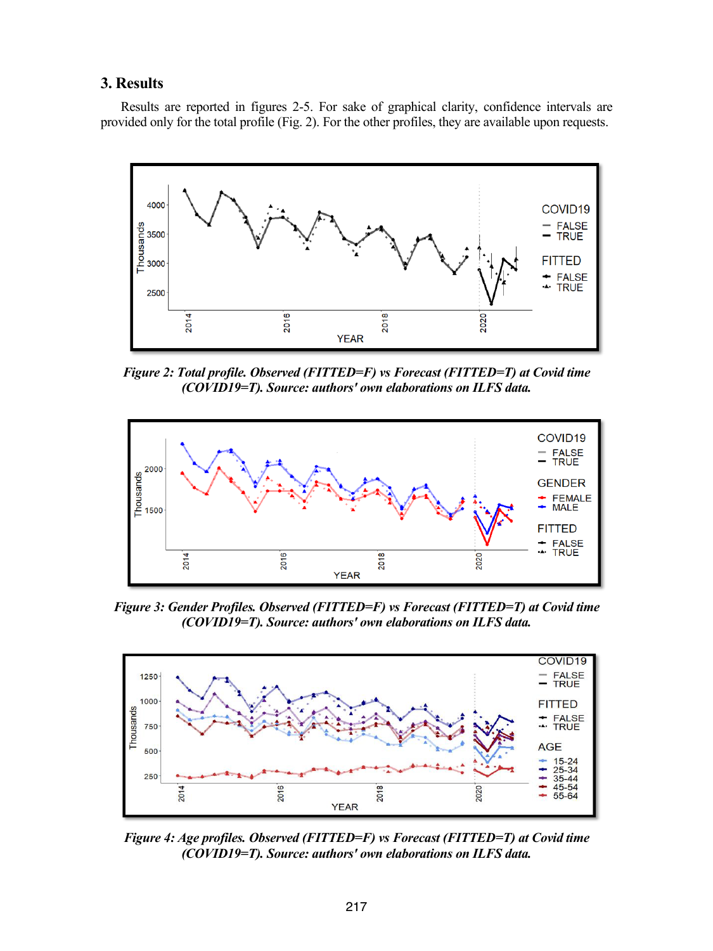### **3. Results**

Results are reported in figures 2-5. For sake of graphical clarity, confidence intervals are provided only for the total profile (Fig. 2). For the other profiles, they are available upon requests.



*Figure 2: Total profile. Observed (FITTED=F) vs Forecast (FITTED=T) at Covid time (COVID19=T). Source: authors' own elaborations on ILFS data.*



*Figure 3: Gender Profiles. Observed (FITTED=F) vs Forecast (FITTED=T) at Covid time (COVID19=T). Source: authors' own elaborations on ILFS data.*



*Figure 4: Age profiles. Observed (FITTED=F) vs Forecast (FITTED=T) at Covid time (COVID19=T). Source: authors' own elaborations on ILFS data.*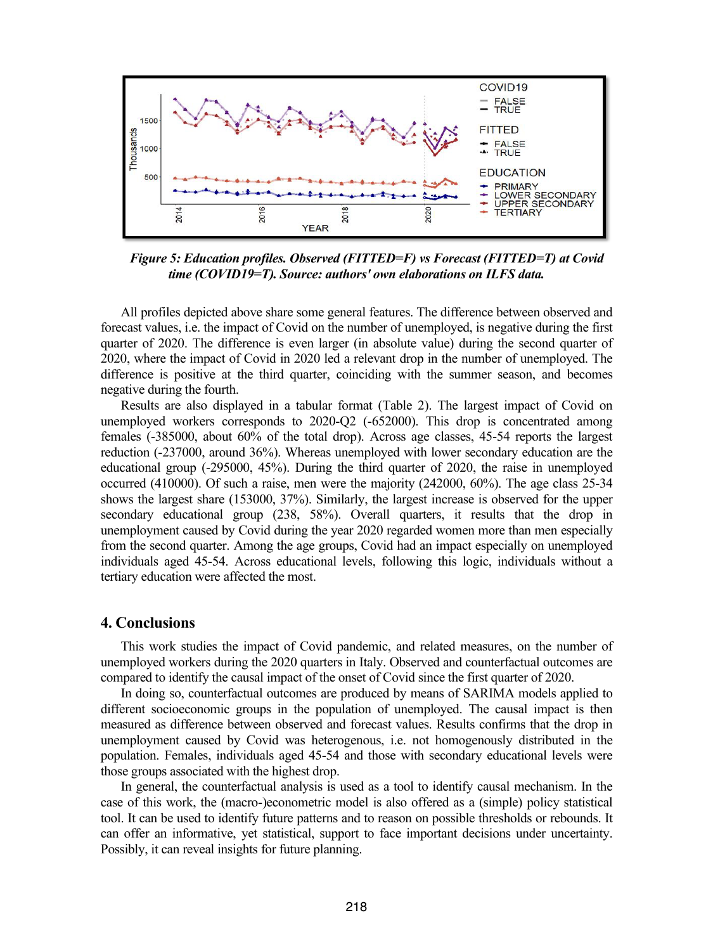

*Figure 5: Education profiles. Observed (FITTED=F) vs Forecast (FITTED=T) at Covid time (COVID19=T). Source: authors' own elaborations on ILFS data.*

All profiles depicted above share some general features. The difference between observed and forecast values, i.e. the impact of Covid on the number of unemployed, is negative during the first quarter of 2020. The difference is even larger (in absolute value) during the second quarter of 2020, where the impact of Covid in 2020 led a relevant drop in the number of unemployed. The difference is positive at the third quarter, coinciding with the summer season, and becomes negative during the fourth.

Results are also displayed in a tabular format (Table 2). The largest impact of Covid on unemployed workers corresponds to 2020-Q2 (-652000). This drop is concentrated among females (-385000, about 60% of the total drop). Across age classes, 45-54 reports the largest reduction (-237000, around 36%). Whereas unemployed with lower secondary education are the educational group (-295000, 45%). During the third quarter of 2020, the raise in unemployed occurred (410000). Of such a raise, men were the majority (242000, 60%). The age class 25-34 shows the largest share (153000, 37%). Similarly, the largest increase is observed for the upper secondary educational group (238, 58%). Overall quarters, it results that the drop in unemployment caused by Covid during the year 2020 regarded women more than men especially from the second quarter. Among the age groups, Covid had an impact especially on unemployed individuals aged 45-54. Across educational levels, following this logic, individuals without a tertiary education were affected the most.

#### **4. Conclusions**

This work studies the impact of Covid pandemic, and related measures, on the number of unemployed workers during the 2020 quarters in Italy. Observed and counterfactual outcomes are compared to identify the causal impact of the onset of Covid since the first quarter of 2020.

In doing so, counterfactual outcomes are produced by means of SARIMA models applied to different socioeconomic groups in the population of unemployed. The causal impact is then measured as difference between observed and forecast values. Results confirms that the drop in unemployment caused by Covid was heterogenous, i.e. not homogenously distributed in the population. Females, individuals aged 45-54 and those with secondary educational levels were those groups associated with the highest drop.

In general, the counterfactual analysis is used as a tool to identify causal mechanism. In the case of this work, the (macro-)econometric model is also offered as a (simple) policy statistical tool. It can be used to identify future patterns and to reason on possible thresholds or rebounds. It can offer an informative, yet statistical, support to face important decisions under uncertainty. Possibly, it can reveal insights for future planning.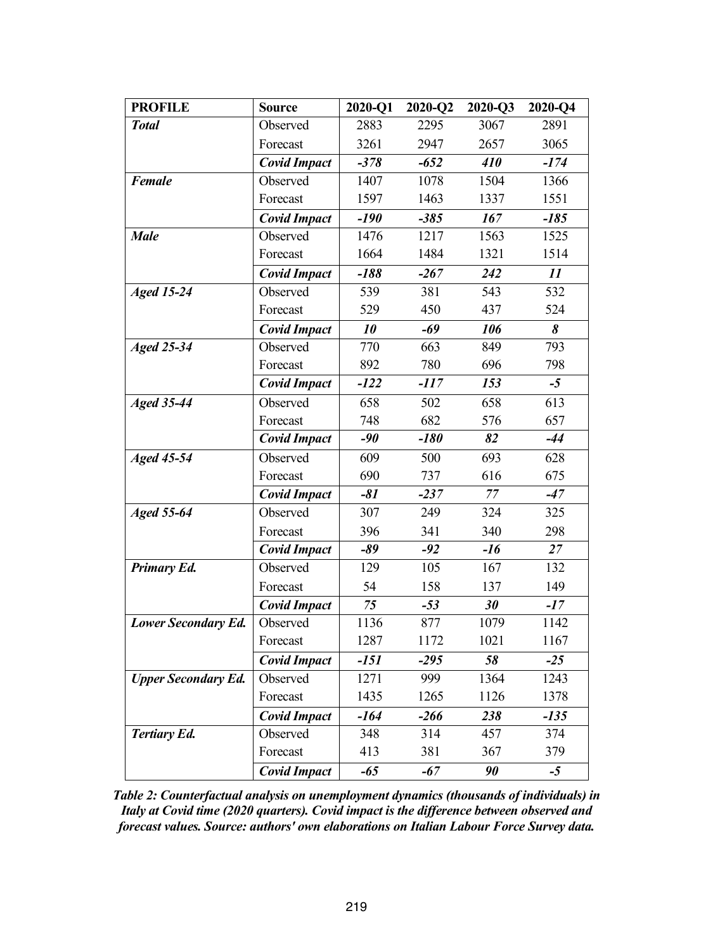| <b>PROFILE</b>             | <b>Source</b>       | 2020-Q1 | $2020 - Q2$ | 2020-Q3 | 2020-Q4 |
|----------------------------|---------------------|---------|-------------|---------|---------|
| <b>Total</b>               | Observed            | 2883    | 2295        | 3067    | 2891    |
|                            | Forecast            | 3261    | 2947        | 2657    | 3065    |
|                            | <b>Covid Impact</b> | $-378$  | $-652$      | 410     | $-174$  |
| <b>Female</b>              | Observed            | 1407    | 1078        | 1504    | 1366    |
|                            | Forecast            | 1597    | 1463        | 1337    | 1551    |
|                            | <b>Covid Impact</b> | $-190$  | $-385$      | 167     | $-185$  |
| <b>Male</b>                | Observed            | 1476    | 1217        | 1563    | 1525    |
|                            | Forecast            | 1664    | 1484        | 1321    | 1514    |
|                            | <b>Covid Impact</b> | $-188$  | $-267$      | 242     | 11      |
| <b>Aged 15-24</b>          | Observed            | 539     | 381         | 543     | 532     |
|                            | Forecast            | 529     | 450         | 437     | 524     |
|                            | <b>Covid Impact</b> | 10      | $-69$       | 106     | 8       |
| Aged $25-34$               | Observed            | 770     | 663         | 849     | 793     |
|                            | Forecast            | 892     | 780         | 696     | 798     |
|                            | <b>Covid Impact</b> | $-122$  | $-117$      | 153     | $-5$    |
| Aged $35-44$               | Observed            | 658     | 502         | 658     | 613     |
|                            | Forecast            | 748     | 682         | 576     | 657     |
|                            | <b>Covid Impact</b> | $-90$   | $-180$      | 82      | $-44$   |
| <b>Aged 45-54</b>          | Observed            | 609     | 500         | 693     | 628     |
|                            | Forecast            | 690     | 737         | 616     | 675     |
|                            | <b>Covid Impact</b> | $-81$   | $-237$      | $77\,$  | $-47$   |
| <b>Aged 55-64</b>          | Observed            | 307     | 249         | 324     | 325     |
|                            | Forecast            | 396     | 341         | 340     | 298     |
|                            | <b>Covid Impact</b> | $-89$   | $-92$       | $-16$   | 27      |
| <b>Primary Ed.</b>         | Observed            | 129     | 105         | 167     | 132     |
|                            | Forecast            | 54      | 158         | 137     | 149     |
|                            | <b>Covid Impact</b> | 75      | $-53$       | 30      | $-17$   |
| <b>Lower Secondary Ed.</b> | Observed            | 1136    | 877         | 1079    | 1142    |
|                            | Forecast            | 1287    | 1172        | 1021    | 1167    |
|                            | <b>Covid Impact</b> | $-151$  | $-295$      | 58      | $-25$   |
| <b>Upper Secondary Ed.</b> | Observed            | 1271    | 999         | 1364    | 1243    |
|                            | Forecast            | 1435    | 1265        | 1126    | 1378    |
|                            | <b>Covid Impact</b> | $-164$  | $-266$      | 238     | $-135$  |
| <b>Tertiary Ed.</b>        | Observed            | 348     | 314         | 457     | 374     |
|                            | Forecast            | 413     | 381         | 367     | 379     |
|                            | <b>Covid Impact</b> | $-65$   | $-67$       | 90      | $-5$    |

*Table 2: Counterfactual analysis on unemployment dynamics (thousands of individuals) in Italy at Covid time (2020 quarters). Covid impact is the difference between observed and forecast values. Source: authors' own elaborations on Italian Labour Force Survey data.*